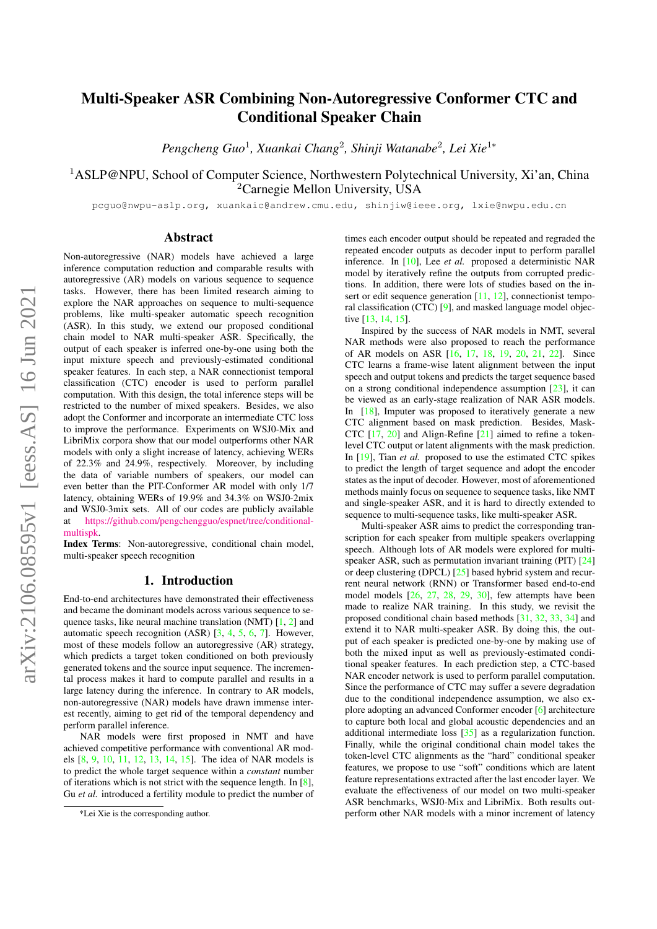# Multi-Speaker ASR Combining Non-Autoregressive Conformer CTC and Conditional Speaker Chain

*Pengcheng Guo*<sup>1</sup> *, Xuankai Chang*<sup>2</sup> *, Shinji Watanabe*<sup>2</sup> *, Lei Xie*<sup>1</sup><sup>∗</sup>

<sup>1</sup>ASLP@NPU, School of Computer Science, Northwestern Polytechnical University, Xi'an, China <sup>2</sup>Carnegie Mellon University, USA

pcguo@nwpu-aslp.org, xuankaic@andrew.cmu.edu, shinjiw@ieee.org, lxie@nwpu.edu.cn

# Abstract

Non-autoregressive (NAR) models have achieved a large inference computation reduction and comparable results with autoregressive (AR) models on various sequence to sequence tasks. However, there has been limited research aiming to explore the NAR approaches on sequence to multi-sequence problems, like multi-speaker automatic speech recognition (ASR). In this study, we extend our proposed conditional chain model to NAR multi-speaker ASR. Specifically, the output of each speaker is inferred one-by-one using both the input mixture speech and previously-estimated conditional speaker features. In each step, a NAR connectionist temporal classification (CTC) encoder is used to perform parallel computation. With this design, the total inference steps will be restricted to the number of mixed speakers. Besides, we also adopt the Conformer and incorporate an intermediate CTC loss to improve the performance. Experiments on WSJ0-Mix and LibriMix corpora show that our model outperforms other NAR models with only a slight increase of latency, achieving WERs of 22.3% and 24.9%, respectively. Moreover, by including the data of variable numbers of speakers, our model can even better than the PIT-Conformer AR model with only 1/7 latency, obtaining WERs of 19.9% and 34.3% on WSJ0-2mix and WSJ0-3mix sets. All of our codes are publicly available at [https://github.com/pengchengguo/espnet/tree/conditional](https://github.com/pengchengguo/espnet/tree/conditional-multispk)[multispk.](https://github.com/pengchengguo/espnet/tree/conditional-multispk)

Index Terms: Non-autoregressive, conditional chain model, multi-speaker speech recognition

# 1. Introduction

End-to-end architectures have demonstrated their effectiveness and became the dominant models across various sequence to sequence tasks, like neural machine translation (NMT) [\[1,](#page-4-0) [2\]](#page-4-1) and automatic speech recognition (ASR)  $[3, 4, 5, 6, 7]$  $[3, 4, 5, 6, 7]$  $[3, 4, 5, 6, 7]$  $[3, 4, 5, 6, 7]$  $[3, 4, 5, 6, 7]$  $[3, 4, 5, 6, 7]$  $[3, 4, 5, 6, 7]$  $[3, 4, 5, 6, 7]$  $[3, 4, 5, 6, 7]$ . However, most of these models follow an autoregressive (AR) strategy, which predicts a target token conditioned on both previously generated tokens and the source input sequence. The incremental process makes it hard to compute parallel and results in a large latency during the inference. In contrary to AR models, non-autoregressive (NAR) models have drawn immense interest recently, aiming to get rid of the temporal dependency and perform parallel inference.

NAR models were first proposed in NMT and have achieved competitive performance with conventional AR models [\[8,](#page-4-7) [9,](#page-4-8) [10,](#page-4-9) [11,](#page-4-10) [12,](#page-4-11) [13,](#page-4-12) [14,](#page-4-13) [15\]](#page-4-14). The idea of NAR models is to predict the whole target sequence within a *constant* number of iterations which is not strict with the sequence length. In  $[8]$ , Gu *et al.* introduced a fertility module to predict the number of

times each encoder output should be repeated and regraded the repeated encoder outputs as decoder input to perform parallel inference. In [\[10\]](#page-4-9), Lee *et al.* proposed a deterministic NAR model by iteratively refine the outputs from corrupted predictions. In addition, there were lots of studies based on the in-sert or edit sequence generation [\[11,](#page-4-10) [12\]](#page-4-11), connectionist temporal classification (CTC) [\[9\]](#page-4-8), and masked language model objective [\[13,](#page-4-12) [14,](#page-4-13) [15\]](#page-4-14).

Inspired by the success of NAR models in NMT, several NAR methods were also proposed to reach the performance of AR models on ASR [\[16,](#page-4-15) [17,](#page-4-16) [18,](#page-4-17) [19,](#page-4-18) [20,](#page-4-19) [21,](#page-4-20) [22\]](#page-4-21). Since CTC learns a frame-wise latent alignment between the input speech and output tokens and predicts the target sequence based on a strong conditional independence assumption [\[23\]](#page-4-22), it can be viewed as an early-stage realization of NAR ASR models. In [\[18\]](#page-4-17), Imputer was proposed to iteratively generate a new CTC alignment based on mask prediction. Besides, Mask-CTC [\[17,](#page-4-16) [20\]](#page-4-19) and Align-Refine [\[21\]](#page-4-20) aimed to refine a tokenlevel CTC output or latent alignments with the mask prediction. In [\[19\]](#page-4-18), Tian *et al.* proposed to use the estimated CTC spikes to predict the length of target sequence and adopt the encoder states as the input of decoder. However, most of aforementioned methods mainly focus on sequence to sequence tasks, like NMT and single-speaker ASR, and it is hard to directly extended to sequence to multi-sequence tasks, like multi-speaker ASR.

Multi-speaker ASR aims to predict the corresponding transcription for each speaker from multiple speakers overlapping speech. Although lots of AR models were explored for multispeaker ASR, such as permutation invariant training (PIT) [\[24\]](#page-4-23) or deep clustering (DPCL) [\[25\]](#page-4-24) based hybrid system and recurrent neural network (RNN) or Transformer based end-to-end model models [\[26,](#page-4-25) [27,](#page-4-26) [28,](#page-4-27) [29,](#page-4-28) [30\]](#page-4-29), few attempts have been made to realize NAR training. In this study, we revisit the proposed conditional chain based methods [\[31,](#page-4-30) [32,](#page-4-31) [33,](#page-4-32) [34\]](#page-4-33) and extend it to NAR multi-speaker ASR. By doing this, the output of each speaker is predicted one-by-one by making use of both the mixed input as well as previously-estimated conditional speaker features. In each prediction step, a CTC-based NAR encoder network is used to perform parallel computation. Since the performance of CTC may suffer a severe degradation due to the conditional independence assumption, we also explore adopting an advanced Conformer encoder [\[6\]](#page-4-5) architecture to capture both local and global acoustic dependencies and an additional intermediate loss [\[35\]](#page-4-34) as a regularization function. Finally, while the original conditional chain model takes the token-level CTC alignments as the "hard" conditional speaker features, we propose to use "soft" conditions which are latent feature representations extracted after the last encoder layer. We evaluate the effectiveness of our model on two multi-speaker ASR benchmarks, WSJ0-Mix and LibriMix. Both results outperform other NAR models with a minor increment of latency

<sup>\*</sup>Lei Xie is the corresponding author.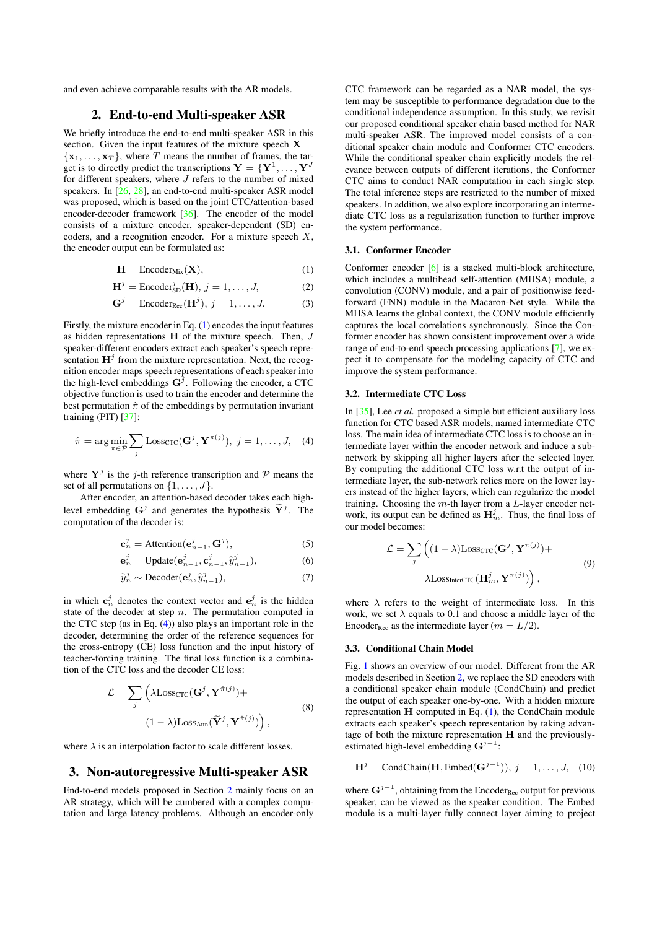<span id="page-1-2"></span>and even achieve comparable results with the AR models.

# 2. End-to-end Multi-speaker ASR

We briefly introduce the end-to-end multi-speaker ASR in this section. Given the input features of the mixture speech  $X =$  ${x_1, \ldots, x_T}$ , where T means the number of frames, the target is to directly predict the transcriptions  $\mathbf{Y} = \{\mathbf{Y}^1, \dots, \mathbf{Y}^J\}$ for different speakers, where  $J$  refers to the number of mixed speakers. In [\[26,](#page-4-25) [28\]](#page-4-27), an end-to-end multi-speaker ASR model was proposed, which is based on the joint CTC/attention-based encoder-decoder framework [\[36\]](#page-4-35). The encoder of the model consists of a mixture encoder, speaker-dependent (SD) encoders, and a recognition encoder. For a mixture speech  $X$ , the encoder output can be formulated as:

$$
\mathbf{H} = \text{Encoder}_{\text{Mix}}(\mathbf{X}),\tag{1}
$$

$$
\mathbf{H}^{j} = \text{Encoder}_{SD}^{j}(\mathbf{H}), j = 1, \dots, J,
$$
 (2)

$$
\mathbf{G}^{j} = \text{Encoder}_{\text{Rec}}(\mathbf{H}^{j}), j = 1, \dots, J.
$$
 (3)

Firstly, the mixture encoder in Eq. [\(1\)](#page-1-0) encodes the input features as hidden representations  $H$  of the mixture speech. Then,  $J$ speaker-different encoders extract each speaker's speech representation  $\mathbf{H}^{j}$  from the mixture representation. Next, the recognition encoder maps speech representations of each speaker into the high-level embeddings  $G^j$ . Following the encoder, a CTC objective function is used to train the encoder and determine the best permutation  $\hat{\pi}$  of the embeddings by permutation invariant training (PIT) [\[37\]](#page-4-36):

$$
\hat{\pi} = \arg\min_{\pi \in \mathcal{P}} \sum_{j} \text{Loss}_{\text{CTC}}(\mathbf{G}^j, \mathbf{Y}^{\pi(j)}), \ j = 1, \dots, J, \quad (4)
$$

where  $Y^j$  is the j-th reference transcription and  $P$  means the set of all permutations on  $\{1, \ldots, J\}$ .

After encoder, an attention-based decoder takes each highlevel embedding  $G^j$  and generates the hypothesis  $\widetilde{\mathbf{Y}}^j$ . The computation of the decoder is:

$$
\mathbf{c}_n^j = \text{Attention}(\mathbf{e}_{n-1}^j, \mathbf{G}^j),\tag{5}
$$

$$
\mathbf{e}_n^j = \text{Update}(\mathbf{e}_{n-1}^j, \mathbf{c}_{n-1}^j, \widetilde{y}_{n-1}^j),\tag{6}
$$

$$
\widetilde{y}_n^j \sim \text{Decoder}(\mathbf{e}_n^j, \widetilde{y}_{n-1}^j),\tag{7}
$$

in which  $c_n^j$  denotes the context vector and  $e_n^j$  is the hidden state of the decoder at step  $n$ . The permutation computed in the CTC step (as in Eq.  $(4)$ ) also plays an important role in the decoder, determining the order of the reference sequences for the cross-entropy (CE) loss function and the input history of teacher-forcing training. The final loss function is a combination of the CTC loss and the decoder CE loss:

$$
\mathcal{L} = \sum_{j} \left( \lambda \text{Loss}_{\text{CTC}}(\mathbf{G}^{j}, \mathbf{Y}^{\hat{\pi}(j)}) + (3) \right)
$$
  

$$
(1 - \lambda) \text{Loss}_{\text{Attn}}(\widetilde{\mathbf{Y}}^{j}, \mathbf{Y}^{\hat{\pi}(j)}) \right),
$$

where  $\lambda$  is an interpolation factor to scale different losses.

# 3. Non-autoregressive Multi-speaker ASR

End-to-end models proposed in Section [2](#page-1-2) mainly focus on an AR strategy, which will be cumbered with a complex computation and large latency problems. Although an encoder-only CTC framework can be regarded as a NAR model, the system may be susceptible to performance degradation due to the conditional independence assumption. In this study, we revisit our proposed conditional speaker chain based method for NAR multi-speaker ASR. The improved model consists of a conditional speaker chain module and Conformer CTC encoders. While the conditional speaker chain explicitly models the relevance between outputs of different iterations, the Conformer CTC aims to conduct NAR computation in each single step. The total inference steps are restricted to the number of mixed speakers. In addition, we also explore incorporating an intermediate CTC loss as a regularization function to further improve the system performance.

### 3.1. Conformer Encoder

<span id="page-1-0"></span>Conformer encoder [\[6\]](#page-4-5) is a stacked multi-block architecture, which includes a multihead self-attention (MHSA) module, a convolution (CONV) module, and a pair of positionwise feedforward (FNN) module in the Macaron-Net style. While the MHSA learns the global context, the CONV module efficiently captures the local correlations synchronously. Since the Conformer encoder has shown consistent improvement over a wide range of end-to-end speech processing applications [\[7\]](#page-4-6), we expect it to compensate for the modeling capacity of CTC and improve the system performance.

### 3.2. Intermediate CTC Loss

<span id="page-1-1"></span>In [\[35\]](#page-4-34), Lee *et al.* proposed a simple but efficient auxiliary loss function for CTC based ASR models, named intermediate CTC loss. The main idea of intermediate CTC loss is to choose an intermediate layer within the encoder network and induce a subnetwork by skipping all higher layers after the selected layer. By computing the additional CTC loss w.r.t the output of intermediate layer, the sub-network relies more on the lower layers instead of the higher layers, which can regularize the model training. Choosing the  $m$ -th layer from a  $L$ -layer encoder network, its output can be defined as  $\mathbf{H}_m^j$ . Thus, the final loss of our model becomes:

$$
\mathcal{L} = \sum_{j} \left( (1 - \lambda) \text{Loss}_{\text{CTC}}(\mathbf{G}^{j}, \mathbf{Y}^{\pi(j)}) + \lambda \text{Loss}_{\text{InterCTC}}(\mathbf{H}_{m}^{j}, \mathbf{Y}^{\pi(j)}) \right),
$$
\n(9)

<span id="page-1-4"></span>where  $\lambda$  refers to the weight of intermediate loss. In this work, we set  $\lambda$  equals to 0.1 and choose a middle layer of the Encoder<sub>Rec</sub> as the intermediate layer ( $m = L/2$ ).

#### 3.3. Conditional Chain Model

Fig. [1](#page-2-0) shows an overview of our model. Different from the AR models described in Section [2,](#page-1-2) we replace the SD encoders with a conditional speaker chain module (CondChain) and predict the output of each speaker one-by-one. With a hidden mixture representation  $H$  computed in Eq.  $(1)$ , the CondChain module extracts each speaker's speech representation by taking advantage of both the mixture representation H and the previouslyestimated high-level embedding  $G^{j-1}$ :

<span id="page-1-3"></span>
$$
\mathbf{H}^{j} = \text{CondChain}(\mathbf{H}, \text{Embed}(\mathbf{G}^{j-1})), j = 1, \dots, J, (10)
$$

where  $G^{j-1}$ , obtaining from the Encoder<sub>Rec</sub> output for previous speaker, can be viewed as the speaker condition. The Embed module is a multi-layer fully connect layer aiming to project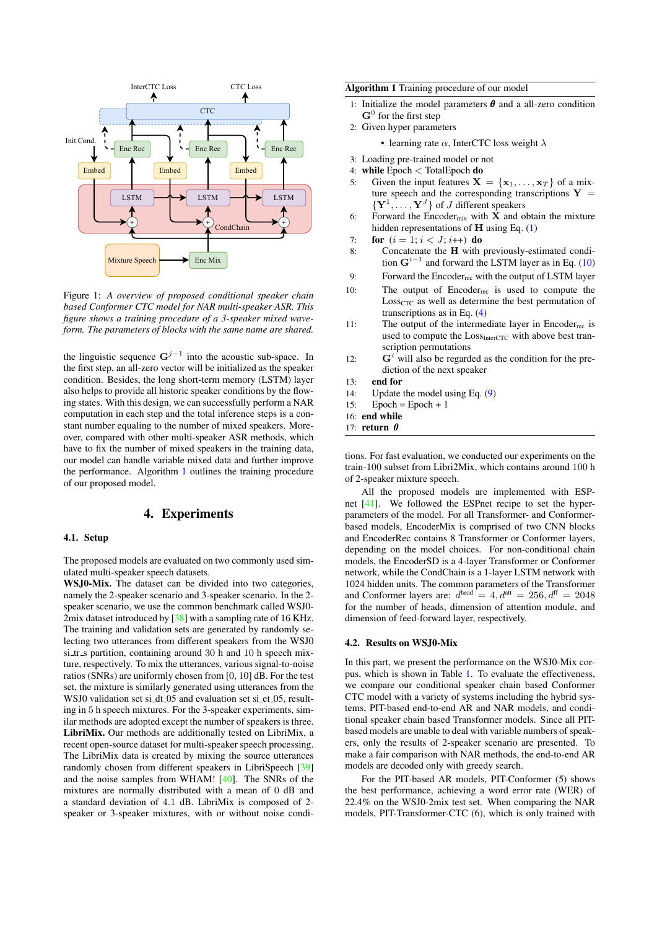<span id="page-2-0"></span>

Figure 1: *A overview of proposed conditional speaker chain based Conformer CTC model for NAR multi-speaker ASR. This figure shows a training procedure of a 3-speaker mixed waveform. The parameters of blocks with the same name are shared.*

the linguistic sequence  $G^{j-1}$  into the acoustic sub-space. In the first step, an all-zero vector will be initialized as the speaker condition. Besides, the long short-term memory (LSTM) layer also helps to provide all historic speaker conditions by the flowing states. With this design, we can successfully perform a NAR computation in each step and the total inference steps is a constant number equaling to the number of mixed speakers. Moreover, compared with other multi-speaker ASR methods, which have to fix the number of mixed speakers in the training data, our model can handle variable mixed data and further improve the performance. Algorithm [1](#page-2-1) outlines the training procedure of our proposed model.

### 4. Experiments

#### 4.1. Setup

The proposed models are evaluated on two commonly used simulated multi-speaker speech datasets.

WSJ0-Mix. The dataset can be divided into two categories, namely the 2-speaker scenario and 3-speaker scenario. In the 2 speaker scenario, we use the common benchmark called WSJ0- 2mix dataset introduced by  $[38]$  with a sampling rate of 16 KHz. The training and validation sets are generated by randomly selecting two utterances from different speakers from the WSJ0 si tr s partition, containing around 30 h and 10 h speech mixture, respectively. To mix the utterances, various signal-to-noise ratios (SNRs) are uniformly chosen from [0, 10] dB. For the test set, the mixture is similarly generated using utterances from the WSJ0 validation set si\_dt\_05 and evaluation set si\_et\_05, resulting in 5 h speech mixtures. For the 3-speaker experiments, similar methods are adopted except the number of speakers is three. LibriMix. Our methods are additionally tested on LibriMix, a recent open-source dataset for multi-speaker speech processing. The LibriMix data is created by mixing the source utterances randomly chosen from different speakers in LibriSpeech [\[39\]](#page-4-38) and the noise samples from WHAM! [\[40\]](#page-4-39). The SNRs of the mixtures are normally distributed with a mean of 0 dB and a standard deviation of 4.1 dB. LibriMix is composed of 2 speaker or 3-speaker mixtures, with or without noise condi-

### <span id="page-2-1"></span>Algorithm 1 Training procedure of our model

- 1: Initialize the model parameters  $\theta$  and a all-zero condition  $G<sup>0</sup>$  for the first step
- 2: Given hyper parameters

• learning rate  $\alpha$ , InterCTC loss weight  $\lambda$ 

- 3: Loading pre-trained model or not
- 4: while Epoch < TotalEpoch do
- 5: Given the input features  $X = \{x_1, \ldots, x_T\}$  of a mixture speech and the corresponding transcriptions  $Y =$  $\{Y^1, \ldots, Y^J\}$  of J different speakers
- 6: Forward the Encoder<sub>mix</sub> with  $X$  and obtain the mixture hidden representations of  $H$  using Eq. [\(1\)](#page-1-0)
- 7: **for**  $(i = 1; i < J; i++)$  **do**
- 8: Concatenate the H with previously-estimated condition  $G^{i-1}$  and forward the LSTM layer as in Eq. [\(10\)](#page-1-3)
- 9: Forward the Encoder<sub>rec</sub> with the output of LSTM layer
- 10: The output of  $Encoder_{rec}$  is used to compute the  $Loss<sub>CTC</sub>$  as well as determine the best permutation of transcriptions as in Eq. [\(4\)](#page-1-1)
- 11: The output of the intermediate layer in Encoder<sub>rec</sub> is used to compute the Loss<sub>InterCTC</sub> with above best transcription permutations
- 12:  $G^i$  will also be regarded as the condition for the prediction of the next speaker
- 13: end for
- 14: Update the model using Eq. [\(9\)](#page-1-4)
- 15: Epoch =  $E$ poch + 1

16: end while

17: return θ

tions. For fast evaluation, we conducted our experiments on the train-100 subset from Libri2Mix, which contains around 100 h of 2-speaker mixture speech.

All the proposed models are implemented with ESPnet [\[41\]](#page-4-40). We followed the ESPnet recipe to set the hyperparameters of the model. For all Transformer- and Conformerbased models, EncoderMix is comprised of two CNN blocks and EncoderRec contains 8 Transformer or Conformer layers, depending on the model choices. For non-conditional chain models, the EncoderSD is a 4-layer Transformer or Conformer network, while the CondChain is a 1-layer LSTM network with 1024 hidden units. The common parameters of the Transformer and Conformer layers are:  $d^{\text{head}} = 4, d^{\text{att}} = 256, d^{\text{ff}} = 2048$ for the number of heads, dimension of attention module, and dimension of feed-forward layer, respectively.

### 4.2. Results on WSJ0-Mix

In this part, we present the performance on the WSJ0-Mix corpus, which is shown in Table [1.](#page-3-0) To evaluate the effectiveness, we compare our conditional speaker chain based Conformer CTC model with a variety of systems including the hybrid systems, PIT-based end-to-end AR and NAR models, and conditional speaker chain based Transformer models. Since all PITbased models are unable to deal with variable numbers of speakers, only the results of 2-speaker scenario are presented. To make a fair comparison with NAR methods, the end-to-end AR models are decoded only with greedy search.

For the PIT-based AR models, PIT-Conformer (5) shows the best performance, achieving a word error rate (WER) of 22.4% on the WSJ0-2mix test set. When comparing the NAR models, PIT-Transformer-CTC (6), which is only trained with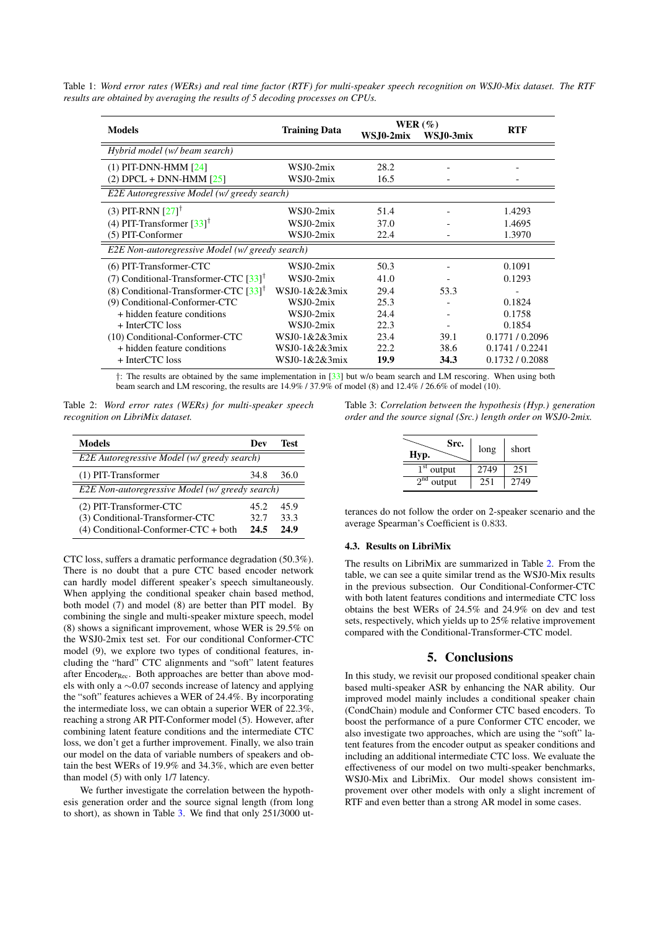<span id="page-3-0"></span>Table 1: *Word error rates (WERs) and real time factor (RTF) for multi-speaker speech recognition on WSJ0-Mix dataset. The RTF results are obtained by averaging the results of 5 decoding processes on CPUs.*

|                                                     | <b>Training Data</b> | WER $(\%)$ |           |               |  |
|-----------------------------------------------------|----------------------|------------|-----------|---------------|--|
| <b>Models</b>                                       |                      | WS.J0-2mix | WSJ0-3mix | RTF           |  |
| Hybrid model (w/ beam search)                       |                      |            |           |               |  |
| $(1)$ PIT-DNN-HMM $[24]$                            | WSJ0-2mix            | 28.2       |           |               |  |
| $(2)$ DPCL + DNN-HMM $[25]$                         | WSJ0-2mix            | 16.5       |           |               |  |
| E2E Autoregressive Model (w/ greedy search)         |                      |            |           |               |  |
| (3) PIT-RNN $[27]$ <sup>†</sup>                     | WSJ0-2mix            | 51.4       |           | 1.4293        |  |
| (4) PIT-Transformer $[33]$ <sup>†</sup>             | WSJ0-2mix            | 37.0       |           | 1.4695        |  |
| (5) PIT-Conformer                                   | WSJ0-2mix            | 22.4       |           | 1.3970        |  |
| E2E Non-autoregressive Model (w/ greedy search)     |                      |            |           |               |  |
| (6) PIT-Transformer-CTC                             | WSJ0-2mix            | 50.3       |           | 0.1091        |  |
| (7) Conditional-Transformer-CTC $[33]$ <sup>T</sup> | WSJ0-2mix            | 41.0       |           | 0.1293        |  |
| (8) Conditional-Transformer-CTC $[33]$ <sup>†</sup> | WSJ0-1&2&3mix        | 29.4       | 53.3      |               |  |
| (9) Conditional-Conformer-CTC                       | WSJ0-2mix            | 25.3       |           | 0.1824        |  |
| + hidden feature conditions                         | WSJ0-2mix            | 24.4       |           | 0.1758        |  |
| + InterCTC loss                                     | WSJ0-2mix            | 22.3       |           | 0.1854        |  |
| (10) Conditional-Conformer-CTC                      | $WSJ0-1&2&3mix$      | 23.4       | 39.1      | 0.1771/0.2096 |  |
| + hidden feature conditions                         | WSJ0-1&2&3mix        | 22.2       | 38.6      | 0.1741/0.2241 |  |
| + InterCTC loss                                     | WSJ0-1&2&3mix        | 19.9       | 34.3      | 0.1732/0.2088 |  |

†: The results are obtained by the same implementation in [\[33\]](#page-4-32) but w/o beam search and LM rescoring. When using both beam search and LM rescoring, the results are 14.9% / 37.9% of model (8) and 12.4% / 26.6% of model (10).

<span id="page-3-2"></span>Table 2: *Word error rates (WERs) for multi-speaker speech recognition on LibriMix dataset.*

| <b>Models</b>                                   | Dev  | Test |  |  |
|-------------------------------------------------|------|------|--|--|
| E2E Autoregressive Model (w/ greedy search)     |      |      |  |  |
| (1) PIT-Transformer                             | 34.8 | 36.0 |  |  |
| E2E Non-autoregressive Model (w/ greedy search) |      |      |  |  |
| (2) PIT-Transformer-CTC                         | 45.2 | 45.9 |  |  |
| (3) Conditional-Transformer-CTC                 | 32.7 | 33.3 |  |  |
| $(4)$ Conditional-Conformer-CTC + both          | 24.5 | 24.9 |  |  |

CTC loss, suffers a dramatic performance degradation (50.3%). There is no doubt that a pure CTC based encoder network can hardly model different speaker's speech simultaneously. When applying the conditional speaker chain based method, both model (7) and model (8) are better than PIT model. By combining the single and multi-speaker mixture speech, model (8) shows a significant improvement, whose WER is 29.5% on the WSJ0-2mix test set. For our conditional Conformer-CTC model (9), we explore two types of conditional features, including the "hard" CTC alignments and "soft" latent features after Encoder $_{\text{Rec}}$ . Both approaches are better than above models with only a ∼0.07 seconds increase of latency and applying the "soft" features achieves a WER of 24.4%. By incorporating the intermediate loss, we can obtain a superior WER of 22.3%, reaching a strong AR PIT-Conformer model (5). However, after combining latent feature conditions and the intermediate CTC loss, we don't get a further improvement. Finally, we also train our model on the data of variable numbers of speakers and obtain the best WERs of 19.9% and 34.3%, which are even better than model (5) with only 1/7 latency.

We further investigate the correlation between the hypothesis generation order and the source signal length (from long to short), as shown in Table [3.](#page-3-1) We find that only 251/3000 ut-

<span id="page-3-1"></span>Table 3: *Correlation between the hypothesis (Hyp.) generation order and the source signal (Src.) length order on WSJ0-2mix.*

| Src.<br>Hyp.              | long | short |
|---------------------------|------|-------|
| $1st$ output              | 2749 | 251   |
| 2 <sub>nd</sub><br>output | 251  | 2749  |

terances do not follow the order on 2-speaker scenario and the average Spearman's Coefficient is 0.833.

#### 4.3. Results on LibriMix

The results on LibriMix are summarized in Table [2.](#page-3-2) From the table, we can see a quite similar trend as the WSJ0-Mix results in the previous subsection. Our Conditional-Conformer-CTC with both latent features conditions and intermediate CTC loss obtains the best WERs of 24.5% and 24.9% on dev and test sets, respectively, which yields up to 25% relative improvement compared with the Conditional-Transformer-CTC model.

# 5. Conclusions

In this study, we revisit our proposed conditional speaker chain based multi-speaker ASR by enhancing the NAR ability. Our improved model mainly includes a conditional speaker chain (CondChain) module and Conformer CTC based encoders. To boost the performance of a pure Conformer CTC encoder, we also investigate two approaches, which are using the "soft" latent features from the encoder output as speaker conditions and including an additional intermediate CTC loss. We evaluate the effectiveness of our model on two multi-speaker benchmarks, WSJ0-Mix and LibriMix. Our model shows consistent improvement over other models with only a slight increment of RTF and even better than a strong AR model in some cases.